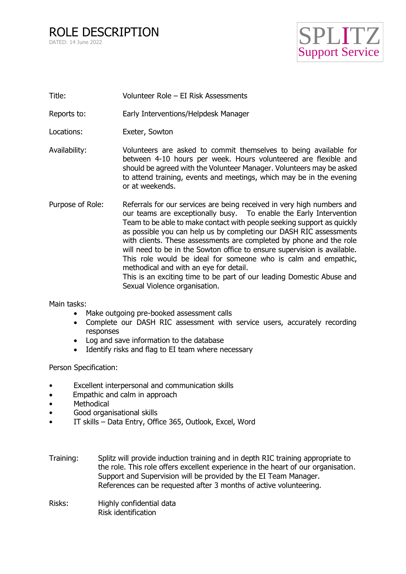

- Title: Volunteer Role EI Risk Assessments
- Reports to: Early Interventions/Helpdesk Manager
- Locations: Exeter, Sowton
- Availability: Volunteers are asked to commit themselves to being available for between 4-10 hours per week. Hours volunteered are flexible and should be agreed with the Volunteer Manager. Volunteers may be asked to attend training, events and meetings, which may be in the evening or at weekends.
- Purpose of Role: Referrals for our services are being received in very high numbers and our teams are exceptionally busy. To enable the Early Intervention Team to be able to make contact with people seeking support as quickly as possible you can help us by completing our DASH RIC assessments with clients. These assessments are completed by phone and the role will need to be in the Sowton office to ensure supervision is available. This role would be ideal for someone who is calm and empathic, methodical and with an eye for detail. This is an exciting time to be part of our leading Domestic Abuse and Sexual Violence organisation.

Main tasks:

- Make outgoing pre-booked assessment calls
- Complete our DASH RIC assessment with service users, accurately recording responses
- Log and save information to the database
- Identify risks and flag to EI team where necessary

Person Specification:

- Excellent interpersonal and communication skills
- Empathic and calm in approach
- **Methodical**
- Good organisational skills
- IT skills Data Entry, Office 365, Outlook, Excel, Word
- Training: Splitz will provide induction training and in depth RIC training appropriate to the role. This role offers excellent experience in the heart of our organisation. Support and Supervision will be provided by the EI Team Manager. References can be requested after 3 months of active volunteering.
- Risks: Highly confidential data Risk identification